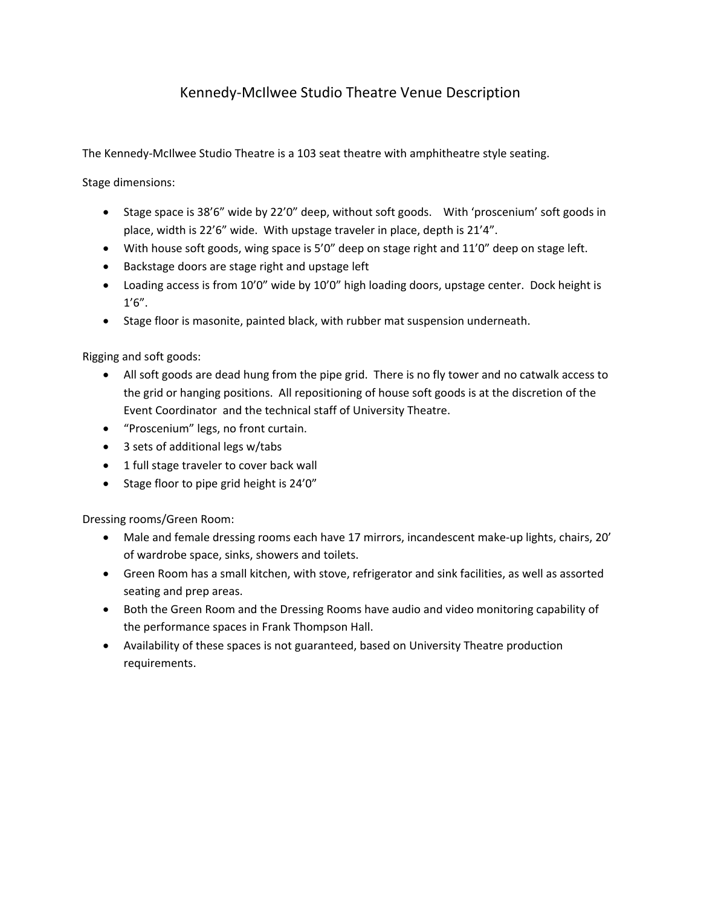## Kennedy‐McIlwee Studio Theatre Venue Description

The Kennedy‐McIlwee Studio Theatre is a 103 seat theatre with amphitheatre style seating.

Stage dimensions:

- Stage space is 38'6" wide by 22'0" deep, without soft goods. With 'proscenium' soft goods in place, width is 22'6" wide. With upstage traveler in place, depth is 21'4".
- With house soft goods, wing space is 5'0" deep on stage right and 11'0" deep on stage left.
- Backstage doors are stage right and upstage left
- Loading access is from 10'0" wide by 10'0" high loading doors, upstage center. Dock height is 1'6".
- Stage floor is masonite, painted black, with rubber mat suspension underneath.

Rigging and soft goods:

- All soft goods are dead hung from the pipe grid. There is no fly tower and no catwalk access to the grid or hanging positions. All repositioning of house soft goods is at the discretion of the Event Coordinator and the technical staff of University Theatre.
- "Proscenium" legs, no front curtain.
- 3 sets of additional legs w/tabs
- 1 full stage traveler to cover back wall
- Stage floor to pipe grid height is 24'0"

Dressing rooms/Green Room:

- Male and female dressing rooms each have 17 mirrors, incandescent make-up lights, chairs, 20' of wardrobe space, sinks, showers and toilets.
- Green Room has a small kitchen, with stove, refrigerator and sink facilities, as well as assorted seating and prep areas.
- Both the Green Room and the Dressing Rooms have audio and video monitoring capability of the performance spaces in Frank Thompson Hall.
- Availability of these spaces is not guaranteed, based on University Theatre production requirements.